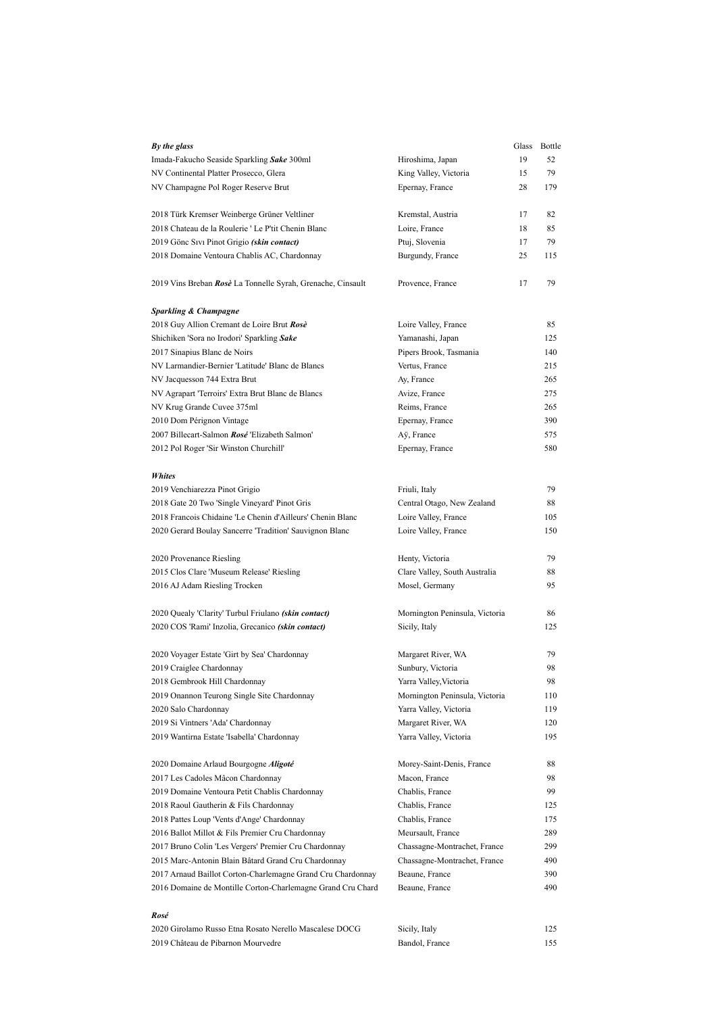| By the glass                                                                                                               |                                  |    | Glass Bottle |
|----------------------------------------------------------------------------------------------------------------------------|----------------------------------|----|--------------|
| Imada-Fakucho Seaside Sparkling Sake 300ml                                                                                 | Hiroshima, Japan                 | 19 | 52           |
| NV Continental Platter Prosecco, Glera                                                                                     | King Valley, Victoria            | 15 | 79           |
| NV Champagne Pol Roger Reserve Brut                                                                                        | Epernay, France                  | 28 | 179          |
|                                                                                                                            |                                  |    |              |
| 2018 Türk Kremser Weinberge Grüner Veltliner                                                                               | Kremstal, Austria                | 17 | 82           |
| 2018 Chateau de la Roulerie 'Le P'tit Chenin Blanc                                                                         | Loire, France                    | 18 | 85           |
| 2019 Gönc Sıvı Pinot Grigio (skin contact)                                                                                 | Ptuj, Slovenia                   | 17 | 79           |
| 2018 Domaine Ventoura Chablis AC, Chardonnay                                                                               | Burgundy, France                 | 25 | 115          |
| 2019 Vins Breban Rosè La Tonnelle Syrah, Grenache, Cinsault                                                                | Provence, France                 | 17 | 79           |
| <b>Sparkling &amp; Champagne</b>                                                                                           |                                  |    |              |
| 2018 Guy Allion Cremant de Loire Brut Rosè                                                                                 | Loire Valley, France             |    | 85           |
| Shichiken 'Sora no Irodori' Sparkling Sake                                                                                 | Yamanashi, Japan                 |    | 125          |
| 2017 Sinapius Blanc de Noirs                                                                                               | Pipers Brook, Tasmania           |    | 140          |
| NV Larmandier-Bernier 'Latitude' Blanc de Blancs                                                                           | Vertus, France                   |    | 215          |
| NV Jacquesson 744 Extra Brut                                                                                               | Ay, France                       |    | 265          |
| NV Agrapart 'Terroirs' Extra Brut Blanc de Blancs                                                                          | Avize, France                    |    | 275          |
| NV Krug Grande Cuvee 375ml                                                                                                 | Reims, France                    |    | 265          |
| 2010 Dom Pérignon Vintage                                                                                                  | Epernay, France                  |    | 390          |
| 2007 Billecart-Salmon Rosé 'Elizabeth Salmon'                                                                              | Aÿ, France                       |    | 575          |
| 2012 Pol Roger 'Sir Winston Churchill'                                                                                     | Epernay, France                  |    | 580          |
|                                                                                                                            |                                  |    |              |
| <b>Whites</b>                                                                                                              |                                  |    |              |
| 2019 Venchiarezza Pinot Grigio                                                                                             | Friuli, Italy                    |    | 79           |
| 2018 Gate 20 Two 'Single Vineyard' Pinot Gris                                                                              | Central Otago, New Zealand       |    | 88           |
| 2018 François Chidaine 'Le Chenin d'Ailleurs' Chenin Blanc                                                                 | Loire Valley, France             |    | 105          |
| 2020 Gerard Boulay Sancerre 'Tradition' Sauvignon Blanc                                                                    | Loire Valley, France             |    | 150          |
| 2020 Provenance Riesling                                                                                                   | Henty, Victoria                  |    | 79           |
| 2015 Clos Clare 'Museum Release' Riesling                                                                                  | Clare Valley, South Australia    |    | 88           |
| 2016 AJ Adam Riesling Trocken                                                                                              | Mosel, Germany                   |    | 95           |
|                                                                                                                            |                                  |    |              |
| 2020 Quealy 'Clarity' Turbul Friulano (skin contact)                                                                       | Mornington Peninsula, Victoria   |    | 86           |
| 2020 COS 'Rami' Inzolia, Grecanico (skin contact)                                                                          | Sicily, Italy                    |    | 125          |
| 2020 Voyager Estate 'Girt by Sea' Chardonnay                                                                               | Margaret River, WA               |    | 79           |
| 2019 Craiglee Chardonnay                                                                                                   | Sunbury, Victoria                |    | 98           |
| 2018 Gembrook Hill Chardonnay                                                                                              | Yarra Valley, Victoria           |    | 98           |
| 2019 Onannon Teurong Single Site Chardonnay                                                                                | Mornington Peninsula, Victoria   |    | 110          |
| 2020 Salo Chardonnay                                                                                                       | Yarra Valley, Victoria           |    | 119          |
| 2019 Si Vintners 'Ada' Chardonnay                                                                                          | Margaret River, WA               |    | 120          |
| 2019 Wantirna Estate 'Isabella' Chardonnay                                                                                 | Yarra Valley, Victoria           |    | 195          |
| 2020 Domaine Arlaud Bourgogne Aligoté                                                                                      | Morey-Saint-Denis, France        |    | 88           |
| 2017 Les Cadoles Mâcon Chardonnav                                                                                          | Macon, France                    |    | 98           |
| 2019 Domaine Ventoura Petit Chablis Chardonnay                                                                             | Chablis, France                  |    | 99           |
| 2018 Raoul Gautherin & Fils Chardonnay                                                                                     | Chablis, France                  |    | 125          |
| 2018 Pattes Loup 'Vents d'Ange' Chardonnay                                                                                 | Chablis, France                  |    | 175          |
| 2016 Ballot Millot & Fils Premier Cru Chardonnay                                                                           | Meursault, France                |    | 289          |
| 2017 Bruno Colin 'Les Vergers' Premier Cru Chardonnay                                                                      | Chassagne-Montrachet, France     |    | 299          |
| 2015 Marc-Antonin Blain Bâtard Grand Cru Chardonnay                                                                        | Chassagne-Montrachet, France     |    | 490          |
|                                                                                                                            |                                  |    |              |
| 2017 Arnaud Baillot Corton-Charlemagne Grand Cru Chardonnay<br>2016 Domaine de Montille Corton-Charlemagne Grand Cru Chard | Beaune, France<br>Beaune, France |    | 390<br>490   |
|                                                                                                                            |                                  |    |              |
| Rosé                                                                                                                       |                                  |    |              |
|                                                                                                                            |                                  |    |              |

2020 Girolamo Russo Etna Rosato Nerello Mascalese DOCG Sicily, Italy 125 2019 Château de Pibarnon Mourvedre Bandol, France Bandol, France 155